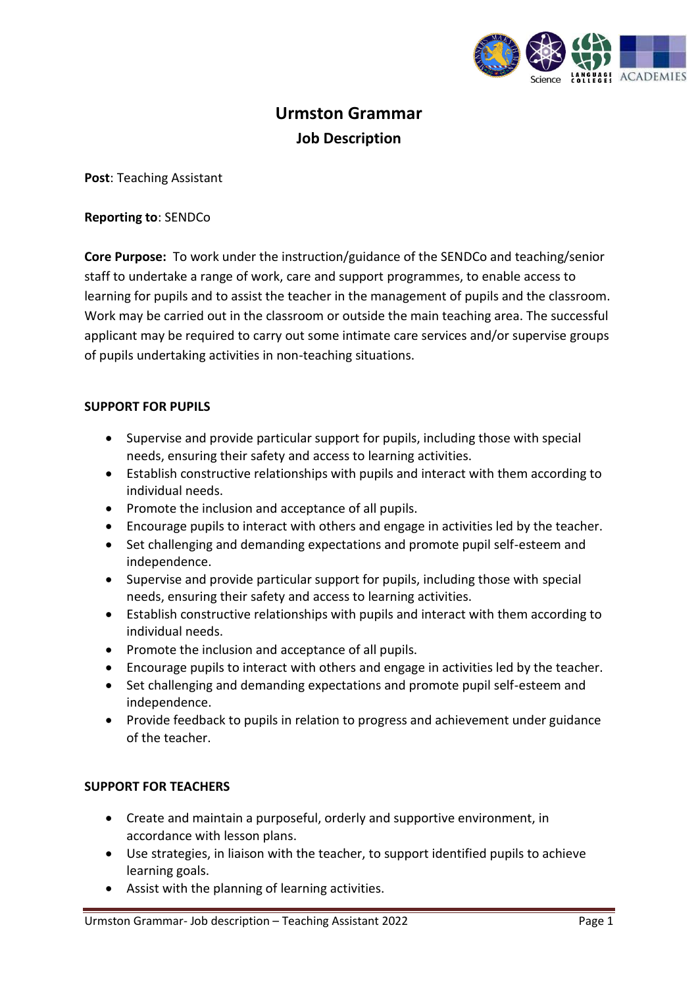

# **Urmston Grammar Job Description**

**Post**: Teaching Assistant

# **Reporting to**: SENDCo

**Core Purpose:** To work under the instruction/guidance of the SENDCo and teaching/senior staff to undertake a range of work, care and support programmes, to enable access to learning for pupils and to assist the teacher in the management of pupils and the classroom. Work may be carried out in the classroom or outside the main teaching area. The successful applicant may be required to carry out some intimate care services and/or supervise groups of pupils undertaking activities in non-teaching situations.

# **SUPPORT FOR PUPILS**

- Supervise and provide particular support for pupils, including those with special needs, ensuring their safety and access to learning activities.
- Establish constructive relationships with pupils and interact with them according to individual needs.
- Promote the inclusion and acceptance of all pupils.
- Encourage pupils to interact with others and engage in activities led by the teacher.
- Set challenging and demanding expectations and promote pupil self-esteem and independence.
- Supervise and provide particular support for pupils, including those with special needs, ensuring their safety and access to learning activities.
- Establish constructive relationships with pupils and interact with them according to individual needs.
- Promote the inclusion and acceptance of all pupils.
- Encourage pupils to interact with others and engage in activities led by the teacher.
- Set challenging and demanding expectations and promote pupil self-esteem and independence.
- Provide feedback to pupils in relation to progress and achievement under guidance of the teacher.

# **SUPPORT FOR TEACHERS**

- Create and maintain a purposeful, orderly and supportive environment, in accordance with lesson plans.
- Use strategies, in liaison with the teacher, to support identified pupils to achieve learning goals.
- Assist with the planning of learning activities.